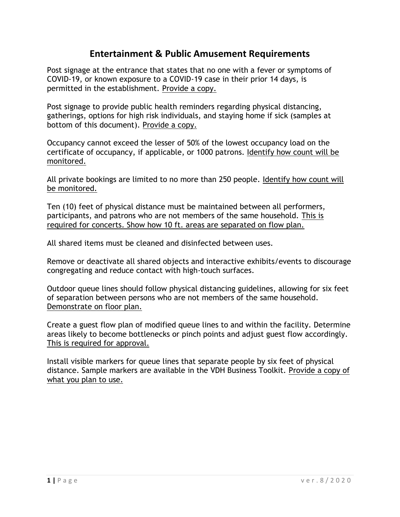## **Entertainment & Public Amusement Requirements**

Post signage at the entrance that states that no one with a fever or symptoms of COVID-19, or known exposure to a COVID-19 case in their prior 14 days, is permitted in the establishment. Provide a copy.

Post signage to provide public health reminders regarding physical distancing, gatherings, options for high risk individuals, and staying home if sick (samples at bottom of this document). Provide a copy.

Occupancy cannot exceed the lesser of 50% of the lowest occupancy load on the certificate of occupancy, if applicable, or 1000 patrons. Identify how count will be monitored.

All private bookings are limited to no more than 250 people. Identify how count will be monitored.

Ten (10) feet of physical distance must be maintained between all performers, participants, and patrons who are not members of the same household. This is required for concerts. Show how 10 ft. areas are separated on flow plan.

All shared items must be cleaned and disinfected between uses.

Remove or deactivate all shared objects and interactive exhibits/events to discourage congregating and reduce contact with high-touch surfaces.

Outdoor queue lines should follow physical distancing guidelines, allowing for six feet of separation between persons who are not members of the same household. Demonstrate on floor plan.

Create a guest flow plan of modified queue lines to and within the facility. Determine areas likely to become bottlenecks or pinch points and adjust guest flow accordingly. This is required for approval.

Install visible markers for queue lines that separate people by six feet of physical distance. Sample markers are available in the VDH Business Toolkit. Provide a copy of what you plan to use.